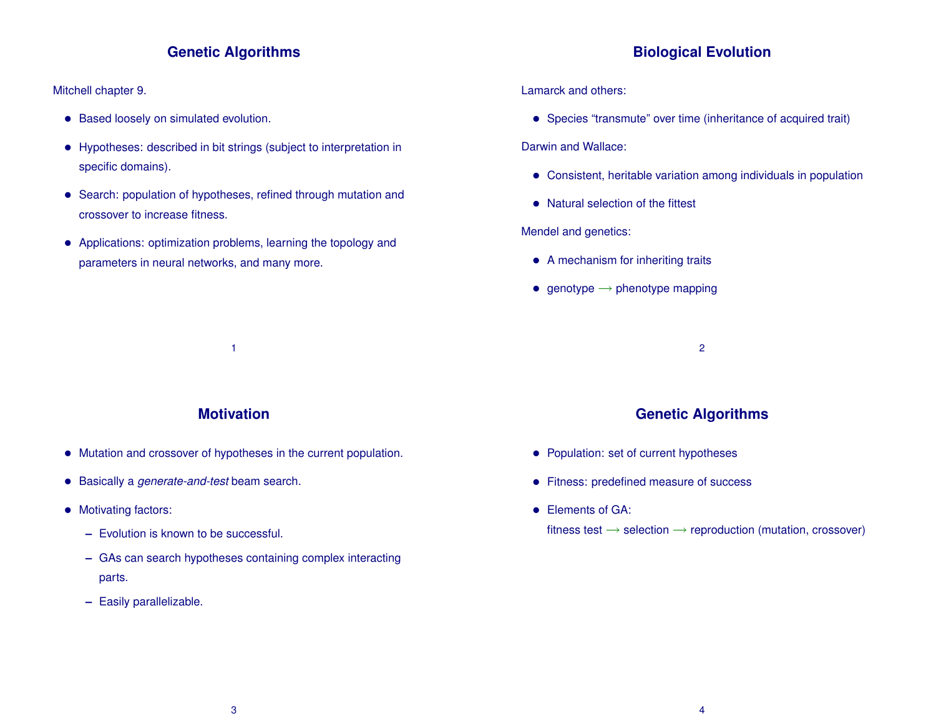## **Genetic Algorithms**

Mitchell chapter 9.

- Based loosely on simulated evolution.
- Hypotheses: described in bit strings (subject to interpretation in specific domains).
- Search: population of hypotheses, refined through mutation and crossover to increase fitness.
- Applications: optimization problems, learning the topology and parameters in neural networks, and many more.

# **Biological Evolution**

Lamarck and others:

• Species "transmute" over time (inheritance of acquired trait)

Darwin and Wallace:

- Consistent, heritable variation among individuals in population
- Natural selection of the fittest

Mendel and genetics:

- A mechanism for inheriting traits
- genotype  $\rightarrow$  phenotype mapping

# **Motivation**

1

- Mutation and crossover of hypotheses in the current population.
- Basically a *generate-and-test* beam search.
- Motivating factors:
	- **–** Evolution is known to be successful.
	- **–** GAs can search hypotheses containing complex interacting parts.
	- **–** Easily parallelizable.

## **Genetic Algorithms**

2

- Population: set of current hypotheses
- Fitness: predefined measure of success
- Elements of GA:

fitness test  $\rightarrow$  selection  $\rightarrow$  reproduction (mutation, crossover)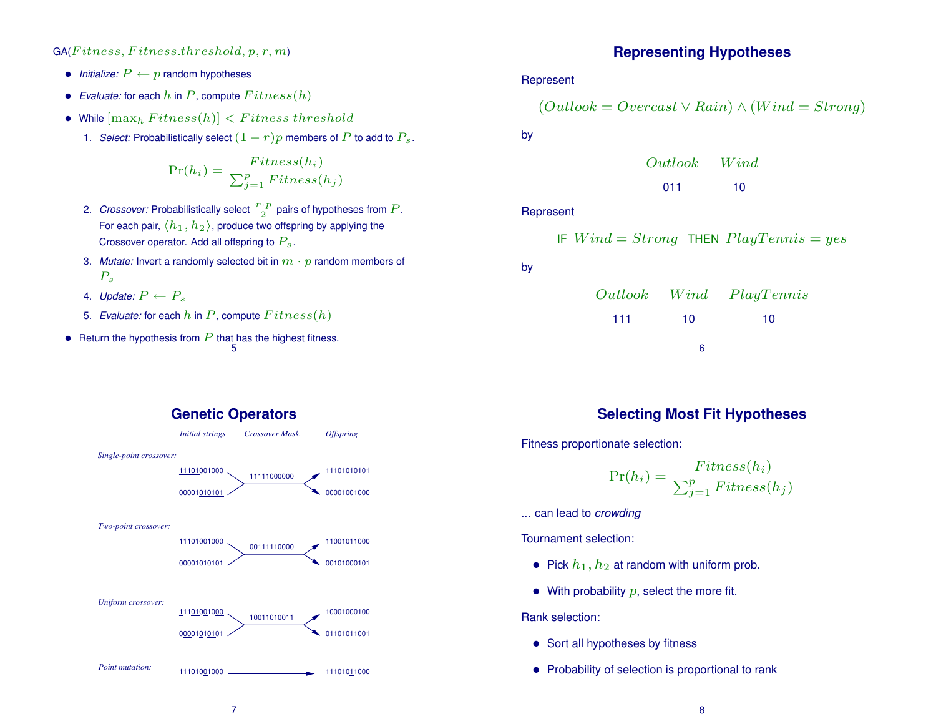$GA(Fitness, Fitness\_{threshold, p, r, m})$ 

- *Initialize:*  $P \leftarrow p$  random hypotheses
- *Evaluate:* for each  $h$  in  $P$ , compute  $Fitness(h)$
- While  $[\max_h \text{Fitness}(h)] < \text{Fitness}$ . the state shold
	- 1. *Select:* Probabilistically select  $(1 r)p$  members of P to add to  $P_s$ .

$$
Pr(h_i) = \frac{Fitness(h_i)}{\sum_{j=1}^{p} Fitness(h_j)}
$$

- 2. *Crossover:* Probabilistically select  $\frac{r \cdot p}{2}$  pairs of hypotheses from  $P$ . For each pair,  $\langle h_1, h_2 \rangle$ , produce two offspring by applying the Crossover operator. Add all offspring to  $P_s$ .
- 3. *Mutate:* Invert a randomly selected bit in  $m \cdot p$  random members of  $P_s$
- 4. *Update:*  $P \leftarrow P_s$
- 5. *Evaluate:* for each  $h$  in  $P$ , compute  $Fitness(h)$
- Return the hypothesis from  $P$  that has the highest fitness. 5



### **Representing Hypotheses**

Represent

$$
(Outlook = Overcast \vee Rain) \wedge (Wind = Strong)
$$

by

Outlook W ind 011 10

#### **Represent**

IF 
$$
Wind = Strong
$$
 THEN  $PlayTennis = yes$ 

by

|     |    | <i>Outlook Wind PlayTennis</i> |  |  |
|-----|----|--------------------------------|--|--|
| 111 | 10 | 10                             |  |  |
|     | ิค |                                |  |  |

#### **Selecting Most Fit Hypotheses**

Fitness proportionate selection:

$$
Pr(h_i) = \frac{Fitness(h_i)}{\sum_{j=1}^{p}Fitness(h_j)}
$$

... can lead to *crowding*

Tournament selection:

- Pick  $h_1$ ,  $h_2$  at random with uniform prob.
- With probability  $p$ , select the more fit.

Rank selection:

- Sort all hypotheses by fitness
- Probability of selection is proportional to rank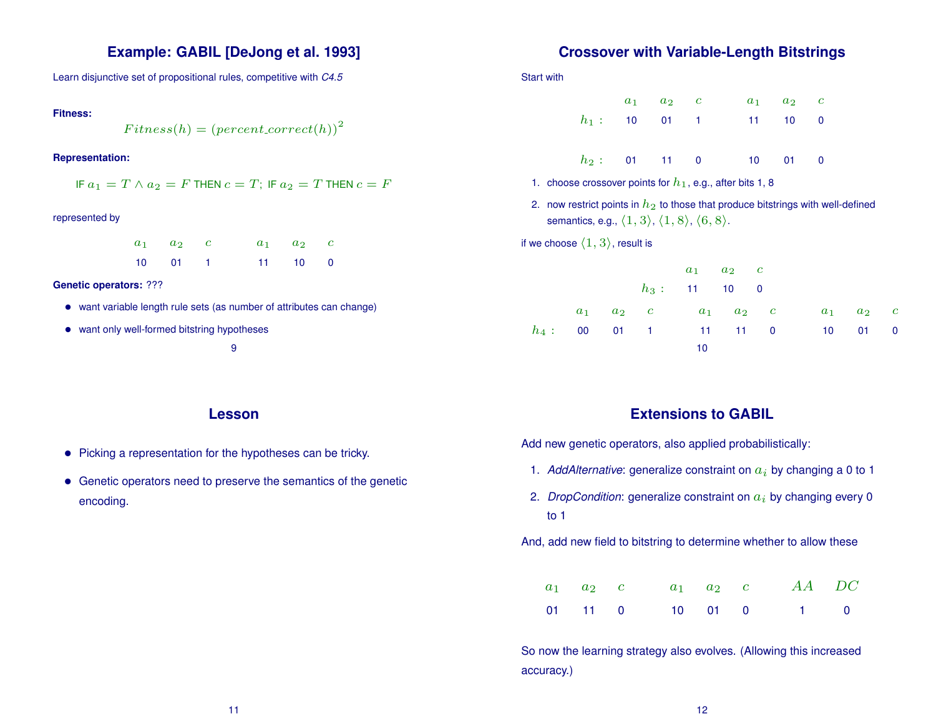## **Example: GABIL [DeJong et al. 1993]**

Learn disjunctive set of propositional rules, competitive with *C4.5*

#### **Fitness:**

 $Fitness(h) = (percent.correct(h))^2$ 

#### **Representation:**

| IF $a_1 = T \wedge a_2 = F$ THEN $c = T$ ; IF $a_2 = T$ THEN $c = F$ |
|----------------------------------------------------------------------|
|----------------------------------------------------------------------|

#### represented by

| $a_1 \quad a_2 \quad c$ | $a_1 \qquad a_2 \qquad c$ |  |
|-------------------------|---------------------------|--|
| $10 \t 01 \t 1$         | 11 10 0                   |  |

**Genetic operators:** ???

- want variable length rule sets (as number of attributes can change)
- want only well-formed bitstring hypotheses

#### **Lesson**

- Picking a representation for the hypotheses can be tricky.
- Genetic operators need to preserve the semantics of the genetic encoding.

#### **Crossover with Variable-Length Bitstrings**

Start with

|  | $a_1$ $a_2$ c | $a_1 \quad a_2 \quad c$ |  |
|--|---------------|-------------------------|--|
|  |               | $h_1$ : 10 01 1 11 10 0 |  |
|  |               |                         |  |
|  |               | $h_2$ : 01 11 0 10 01 0 |  |

- 1. choose crossover points for  $h_1$ , e.g., after bits 1, 8
- 2. now restrict points in  $h_2$  to those that produce bitstrings with well-defined semantics, e.g.,  $\langle 1, 3 \rangle$ ,  $\langle 1, 8 \rangle$ ,  $\langle 6, 8 \rangle$ .

if we choose  $\langle 1, 3 \rangle$ , result is

|  |  |                             | $a_1 \quad a_2 \quad c$ |  |                         |  |
|--|--|-----------------------------|-------------------------|--|-------------------------|--|
|  |  | $h_3$ : 11 10 0             |                         |  |                         |  |
|  |  | $a_1$ $a_2$ c $a_1$ $a_2$ c |                         |  | $a_1 \quad a_2 \quad c$ |  |
|  |  | $h_4: 00 01 1 11 11 0$      |                         |  | 10 01 0                 |  |
|  |  | 10                          |                         |  |                         |  |

## **Extensions to GABIL**

Add new genetic operators, also applied probabilistically:

- 1. *AddAlternative*: generalize constraint on  $a_i$  by changing a 0 to 1
- 2. *DropCondition*: generalize constraint on  $a_i$  by changing every 0 to 1

And, add new field to bitstring to determine whether to allow these

|  |                 |  | $a_1$ $a_2$ c $a_1$ $a_2$ c $AA$ DC |  |
|--|-----------------|--|-------------------------------------|--|
|  | 01 11 0 10 01 0 |  | $\sim$ 1 0                          |  |

So now the learning strategy also evolves. (Allowing this increased accuracy.)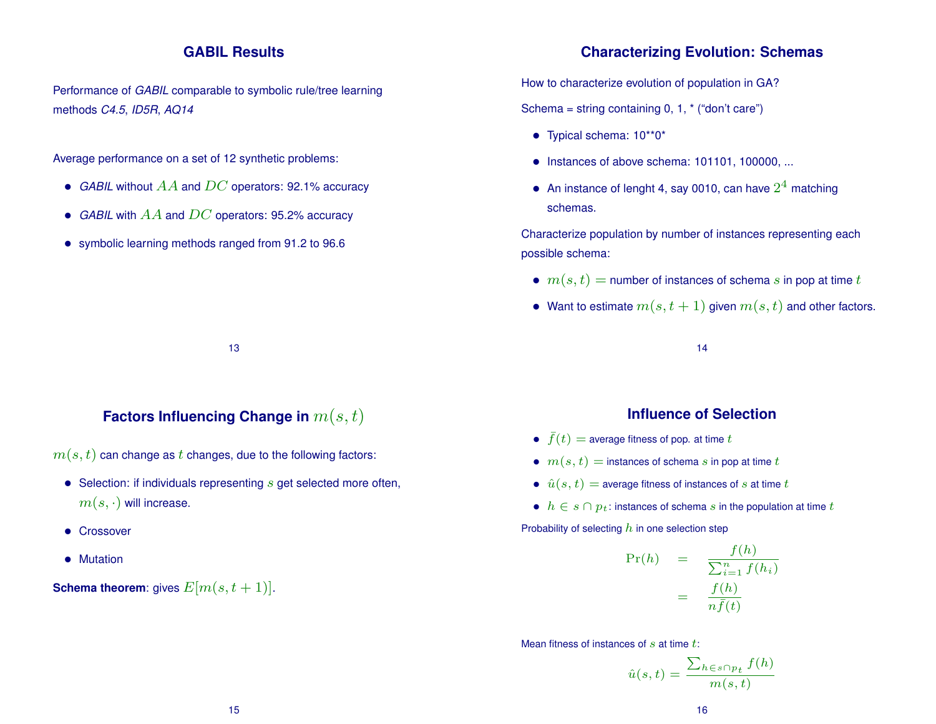#### **GABIL Results**

Performance of *GABIL* comparable to symbolic rule/tree learning methods *C4.5*, *ID5R*, *AQ14*

Average performance on a set of 12 synthetic problems:

- *GABIL* without AA and DC operators: 92.1% accuracy
- *GABIL* with AA and DC operators: 95.2% accuracy
- symbolic learning methods ranged from 91.2 to 96.6

## **Factors Influencing Change in**  $m(s,t)$

13

 $m(s, t)$  can change as t changes, due to the following factors:

- Selection: if individuals representing  $s$  get selected more often,  $m(s, \cdot)$  will increase.
- **•** Crossover
- Mutation

**Schema theorem:** gives  $E[m(s, t + 1)]$ .

## **Characterizing Evolution: Schemas**

How to characterize evolution of population in GA?

Schema = string containing  $0, 1, *$  ("don't care")

- Typical schema: 10\*\*0\*
- Instances of above schema: 101101, 100000, ...
- An instance of lenght 4, say 0010, can have  $2^4$  matching schemas.

Characterize population by number of instances representing each possible schema:

- $m(s, t)$  = number of instances of schema s in pop at time t
- Want to estimate  $m(s, t + 1)$  given  $m(s, t)$  and other factors.

14

#### **Influence of Selection**

- $\bullet \ \ \bar{f}(t) =$  average fitness of pop. at time  $t$
- $m(s, t)$  = instances of schema s in pop at time t
- $\hat{u}(s, t)$  = average fitness of instances of s at time t
- $h \in s \cap p_t$ : instances of schema s in the population at time t

Probability of selecting  $h$  in one selection step

$$
\Pr(h) = \frac{f(h)}{\sum_{i=1}^{n} f(h_i)}
$$

$$
= \frac{f(h)}{n\bar{f}(t)}
$$

Mean fitness of instances of  $s$  at time  $t$ :

$$
\hat{u}(s,t) = \frac{\sum_{h \in s \cap p_t} f(h)}{m(s,t)}
$$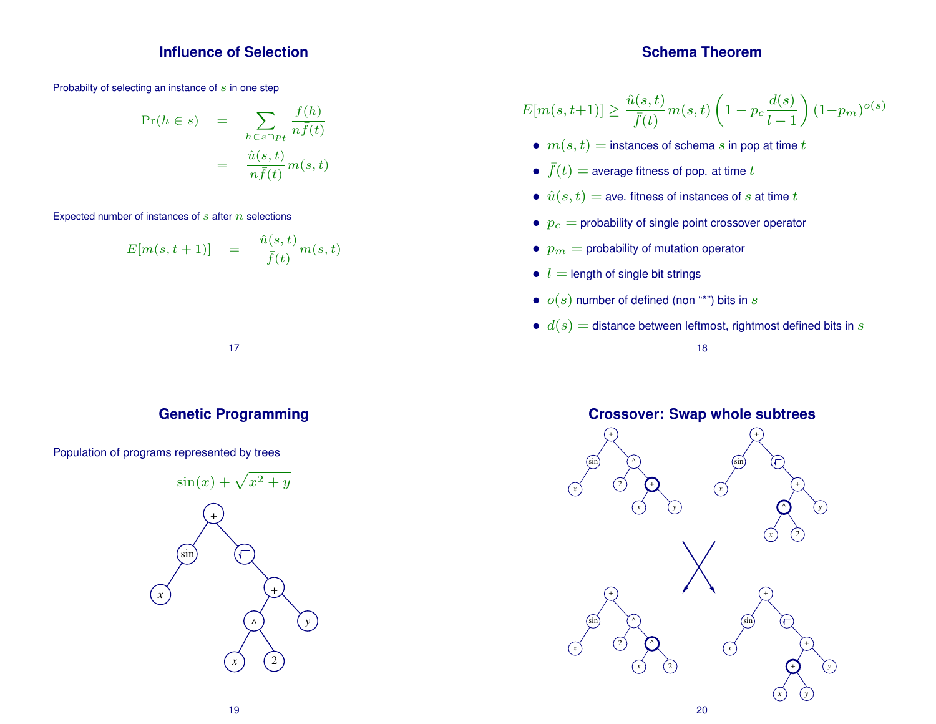### **Influence of Selection**

Probabilty of selecting an instance of s in one step

$$
\Pr(h \in s) = \sum_{h \in s \cap p_t} \frac{f(h)}{n\bar{f}(t)}
$$

$$
= \frac{\hat{u}(s,t)}{n\bar{f}(t)} m(s,t)
$$

Expected number of instances of  $s$  after  $n$  selections

$$
E[m(s,t+1)] = \frac{\hat{u}(s,t)}{\bar{f}(t)}m(s,t)
$$



17

Population of programs represented by trees



$$
E[m(s, t+1)] \ge \frac{\hat{u}(s, t)}{\bar{f}(t)} m(s, t) \left(1 - p_c \frac{d(s)}{l-1}\right) (1 - p_m)^{o(s)}
$$

- $m(s, t)$  = instances of schema s in pop at time t
- $\bar{f}(t) =$  average fitness of pop. at time  $t$
- $\hat{u}(s, t) =$  ave. fitness of instances of  $s$  at time  $t$
- $p_c$  = probability of single point crossover operator
- $p_m =$  probability of mutation operator
- $\bullet$   $l =$  length of single bit strings
- $o(s)$  number of defined (non "\*") bits in s
- $\bullet$   $d(s)$  = distance between leftmost, rightmost defined bits in  $s$

18



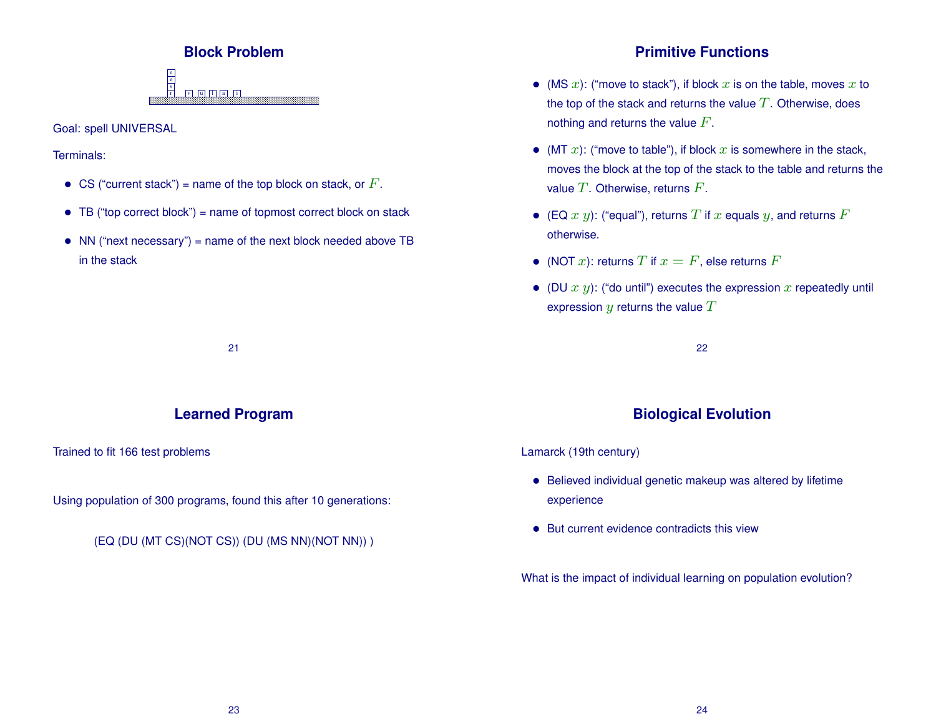# **Block Problem**

 $v \mid u \mid 1 \mid a \mid i$ n e r s

Goal: spell UNIVERSAL

Terminals:

- CS ("current stack") = name of the top block on stack, or  $F$ .
- $\bullet$  TB ("top correct block") = name of topmost correct block on stack
- NN ("next necessary") = name of the next block needed above  $TB$ in the stack

## 21

# **Learned Program**

Trained to fit 166 test problems

Using population of 300 programs, found this after 10 generations:

(EQ (DU (MT CS)(NOT CS)) (DU (MS NN)(NOT NN)) )

# **Primitive Functions**

- (MS x): ("move to stack"), if block x is on the table, moves x to the top of the stack and returns the value  $T$ . Otherwise, does nothing and returns the value  $F$ .
- (MT  $x$ ): ("move to table"), if block  $x$  is somewhere in the stack, moves the block at the top of the stack to the table and returns the value  $T$ . Otherwise, returns  $F$ .
- (EQ x y): ("equal"), returns T if x equals y, and returns F otherwise.
- (NOT x): returns T if  $x = F$ , else returns F
- (DU  $x$   $y$ ): ("do until") executes the expression  $x$  repeatedly until expression  $y$  returns the value  $T$

22

# **Biological Evolution**

#### Lamarck (19th century)

- Believed individual genetic makeup was altered by lifetime experience
- But current evidence contradicts this view

What is the impact of individual learning on population evolution?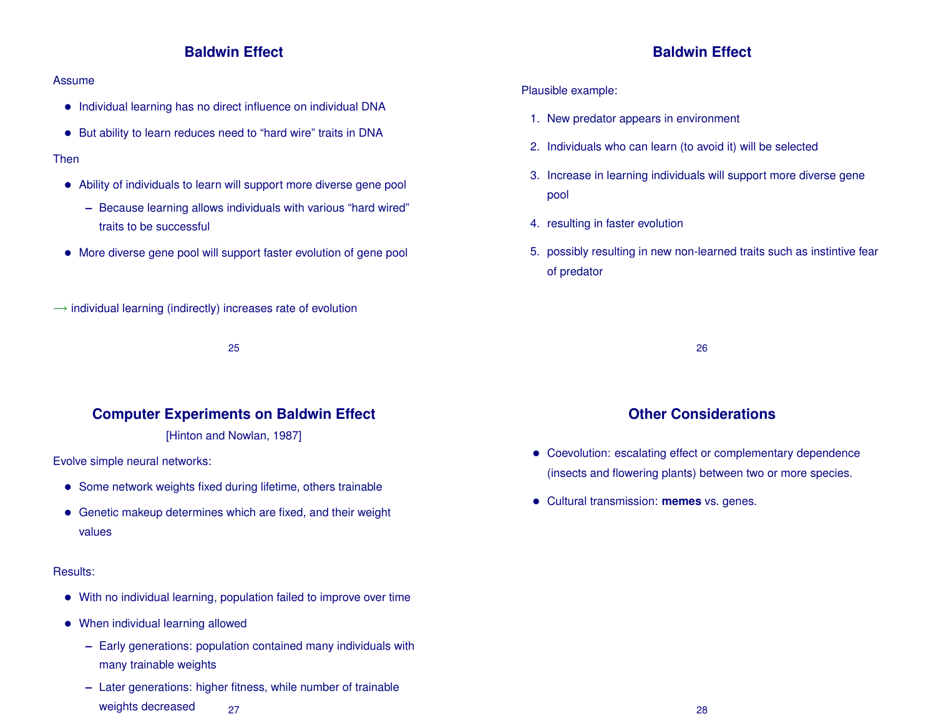### **Baldwin Effect**

#### Assume

- Individual learning has no direct influence on individual DNA
- But ability to learn reduces need to "hard wire" traits in DNA

#### Then

- Ability of individuals to learn will support more diverse gene pool
	- **–** Because learning allows individuals with various "hard wired" traits to be successful
- More diverse gene pool will support faster evolution of gene pool
- $\rightarrow$  individual learning (indirectly) increases rate of evolution

25

## **Computer Experiments on Baldwin Effect**

[Hinton and Nowlan, 1987]

Evolve simple neural networks:

- Some network weights fixed during lifetime, others trainable
- Genetic makeup determines which are fixed, and their weight values

#### Results:

- With no individual learning, population failed to improve over time
- When individual learning allowed
	- **–** Early generations: population contained many individuals with many trainable weights
	- **–** Later generations: higher fitness, while number of trainable weights decreased 27

## **Baldwin Effect**

#### Plausible example:

- 1. New predator appears in environment
- 2. Individuals who can learn (to avoid it) will be selected
- 3. Increase in learning individuals will support more diverse gene pool
- 4. resulting in faster evolution
- 5. possibly resulting in new non-learned traits such as instintive fear of predator

26

## **Other Considerations**

- Coevolution: escalating effect or complementary dependence (insects and flowering plants) between two or more species.
- Cultural transmission: **memes** vs. genes.